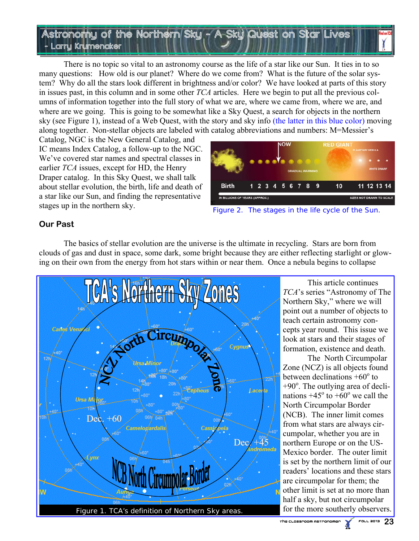# Astronomy of the Northern Sky— - A Sky Quest on Star Lives Larry Krumenaker

 There is no topic so vital to an astronomy course as the life of a star like our Sun. It ties in to so many questions: How old is our planet? Where do we come from? What is the future of the solar system? Why do all the stars look different in brightness and/or color? We have looked at parts of this story in issues past, in this column and in some other *TCA* articles. Here we begin to put all the previous columns of information together into the full story of what we are, where we came from, where we are, and where are we going. This is going to be somewhat like a Sky Quest, a search for objects in the northern sky (see Figure 1), instead of a Web Quest, with the story and sky info (the latter in this blue color) moving along together. Non-stellar objects are labeled with catalog abbreviations and numbers: M=Messier's

Catalog, NGC is the New General Catalog, and IC means Index Catalog, a follow-up to the NGC. We've covered star names and spectral classes in earlier *TCA* issues, except for HD, the Henry Draper catalog. In this Sky Quest, we shall talk about stellar evolution, the birth, life and death of a star like our Sun, and finding the representative stages up in the northern sky.



Figure 2. The stages in the life cycle of the Sun.

# **Our Past**

 The basics of stellar evolution are the universe is the ultimate in recycling. Stars are born from clouds of gas and dust in space, some dark, some bright because they are either reflecting starlight or glowing on their own from the energy from hot stars within or near them. Once a nebula begins to collapse



 This article continues *TCA*'s series "Astronomy of The Northern Sky," where we will point out a number of objects to teach certain astronomy concepts year round. This issue we look at stars and their stages of formation, existence and death.

 The North Circumpolar Zone (NCZ) is all objects found between declinations  $+60^{\circ}$  to +90°. The outlying area of declinations  $+45^{\circ}$  to  $+60^{\circ}$  we call the North Circumpolar Border (NCB). The inner limit comes from what stars are always circumpolar, whether you are in northern Europe or on the US-Mexico border. The outer limit is set by the northern limit of our readers' locations and these stars are circumpolar for them; the other limit is set at no more than half a sky, but not circumpolar for the more southerly observers.

 $F$ ouu 2013  $23$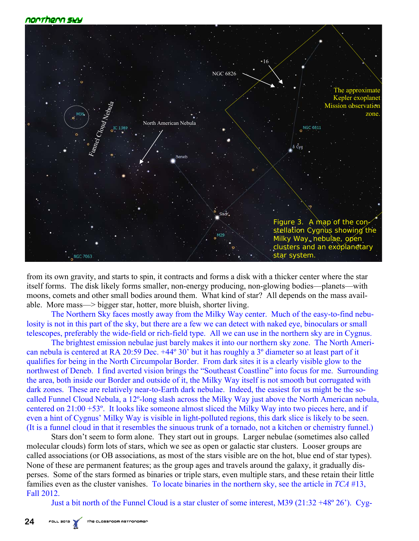### norrhern swy



from its own gravity, and starts to spin, it contracts and forms a disk with a thicker center where the star itself forms. The disk likely forms smaller, non-energy producing, non-glowing bodies—planets—with moons, comets and other small bodies around them. What kind of star? All depends on the mass available. More mass—> bigger star, hotter, more bluish, shorter living.

The Northern Sky faces mostly away from the Milky Way center. Much of the easy-to-find nebulosity is not in this part of the sky, but there are a few we can detect with naked eye, binoculars or small telescopes, preferably the wide-field or rich-field type. All we can use in the northern sky are in Cygnus.

 The brightest emission nebulae just barely makes it into our northern sky zone. The North American nebula is centered at RA 20:59 Dec. +44º 30' but it has roughly a 3º diameter so at least part of it qualifies for being in the North Circumpolar Border. From dark sites it is a clearly visible glow to the northwest of Deneb. I find averted vision brings the "Southeast Coastline" into focus for me. Surrounding the area, both inside our Border and outside of it, the Milky Way itself is not smooth but corrugated with dark zones. These are relatively near-to-Earth dark nebulae. Indeed, the easiest for us might be the socalled Funnel Cloud Nebula, a 12º-long slash across the Milky Way just above the North American nebula, centered on 21:00 +53º. It looks like someone almost sliced the Milky Way into two pieces here, and if even a hint of Cygnus' Milky Way is visible in light-polluted regions, this dark slice is likely to be seen. (It is a funnel cloud in that it resembles the sinuous trunk of a tornado, not a kitchen or chemistry funnel.)

 Stars don't seem to form alone. They start out in groups. Larger nebulae (sometimes also called molecular clouds) form lots of stars, which we see as open or galactic star clusters. Looser groups are called associations (or OB associations, as most of the stars visible are on the hot, blue end of star types). None of these are permanent features; as the group ages and travels around the galaxy, it gradually disperses. Some of the stars formed as binaries or triple stars, even multiple stars, and these retain their little families even as the cluster vanishes. To locate binaries in the northern sky, see the article in *TCA* #13, Fall 2012.

Just a bit north of the Funnel Cloud is a star cluster of some interest, M39 (21:32 +48º 26'). Cyg-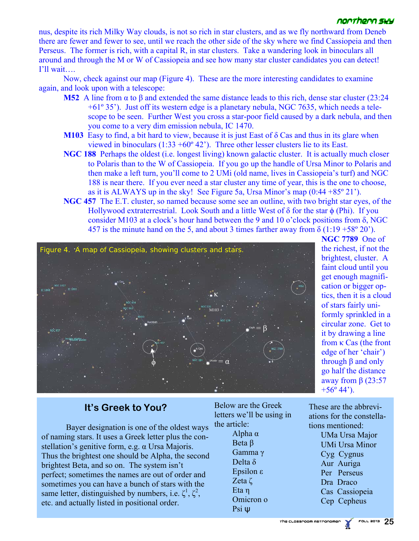### noorheon suu

nus, despite its rich Milky Way clouds, is not so rich in star clusters, and as we fly northward from Deneb there are fewer and fewer to see, until we reach the other side of the sky where we find Cassiopeia and then Perseus. The former is rich, with a capital R, in star clusters. Take a wandering look in binoculars all around and through the M or W of Cassiopeia and see how many star cluster candidates you can detect! I'll wait….

 Now, check against our map (Figure 4). These are the more interesting candidates to examine again, and look upon with a telescope:

- **M52** A line from α to β and extended the same distance leads to this rich, dense star cluster (23:24 +61º 35'). Just off its western edge is a planetary nebula, NGC 7635, which needs a telescope to be seen. Further West you cross a star-poor field caused by a dark nebula, and then you come to a very dim emission nebula, IC 1470.
- **M103** Easy to find, a bit hard to view, because it is just East of δ Cas and thus in its glare when viewed in binoculars  $(1:33 + 60^{\circ} 42)$ . Three other lesser clusters lie to its East.
- **NGC 188** Perhaps the oldest (i.e. longest living) known galactic cluster. It is actually much closer to Polaris than to the W of Cassiopeia. If you go up the handle of Ursa Minor to Polaris and then make a left turn, you'll come to 2 UMi (old name, lives in Cassiopeia's turf) and NGC 188 is near there. If you ever need a star cluster any time of year, this is the one to choose, as it is ALWAYS up in the sky! See Figure 5a, Ursa Minor's map  $(0.44 + 85^\circ 21)$ .
- **NGC 457** The E.T. cluster, so named because some see an outline, with two bright star eyes, of the Hollywood extraterrestrial. Look South and a little West of  $\delta$  for the star  $\phi$  (Phi). If you consider M103 at a clock's hour hand between the 9 and 10 o'clock positions from  $\delta$ , NGC 457 is the minute hand on the 5, and about 3 times farther away from  $\delta$  (1:19 +58° 20').



**NGC 7789** One of the richest, if not the brightest, cluster. A faint cloud until you get enough magnification or bigger optics, then it is a cloud of stars fairly uniformly sprinkled in a circular zone. Get to it by drawing a line from κ Cas (the front edge of her 'chair') through β and only go half the distance away from  $β$  (23:57  $+56^{\circ}$  44').

# **It's Greek to You?**

 Bayer designation is one of the oldest ways of naming stars. It uses a Greek letter plus the constellation's genitive form, e.g. α Ursa Majoris. Thus the brightest one should be Alpha, the second brightest Beta, and so on. The system isn't perfect; sometimes the names are out of order and sometimes you can have a bunch of stars with the same letter, distinguished by numbers, i.e.  $\zeta^1$ ,  $\zeta^2$ , etc. and actually listed in positional order.

Below are the Greek letters we'll be using in the article: Alpha α Beta β Gamma γ Delta δ Epsilon ε Zeta ζ Eta η Omicron ο

Psi ψ

These are the abbreviations for the constellations mentioned:

> UMa Ursa Major UMi Ursa Minor Cyg Cygnus Aur Auriga Per Perseus Dra Draco Cas Cassiopeia Cep Cepheus

The Classroom Astronomer Fall 2013 **25**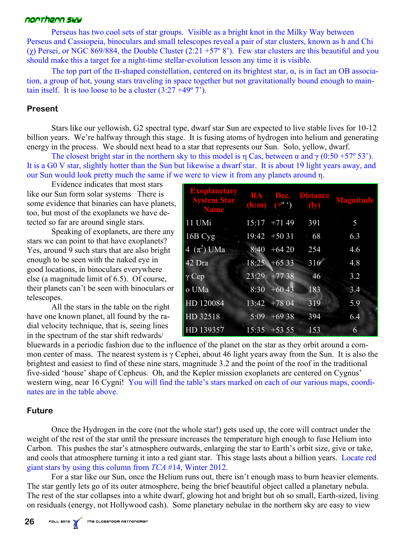## norrhern swy

 Perseus has two cool sets of star groups. Visible as a bright knot in the Milky Way between Perseus and Cassiopeia, binoculars and small telescopes reveal a pair of star clusters, known as h and Chi (χ) Persei, or NGC 869/884, the Double Cluster  $(2.21 + 57° 8')$ . Few star clusters are this beautiful and you should make this a target for a night-time stellar-evolution lesson any time it is visible.

The top part of the  $\Pi$ -shaped constellation, centered on its brightest star,  $\alpha$ , is in fact an OB association, a group of hot, young stars traveling in space together but not gravitationally bound enough to maintain itself. It is too loose to be a cluster  $(3.27 + 49^{\circ} 7^{\circ})$ .

### **Present**

 Stars like our yellowish, G2 spectral type, dwarf star Sun are expected to live stable lives for 10-12 billion years. We're halfway through this stage. It is fusing atoms of hydrogen into helium and generating energy in the process. We should next head to a star that represents our Sun. Solo, yellow, dwarf.

The closest bright star in the northern sky to this model is η Cas, between  $\alpha$  and  $\gamma$  (0:50 +57° 53'). It is a G0 V star, slightly hotter than the Sun but likewise a dwarf star. It is about 19 light years away, and our Sun would look pretty much the same if we were to view it from any planets around η.

 Evidence indicates that most stars like our Sun form solar systems There is some evidence that binaries can have planets, too, but most of the exoplanets we have detected so far are around single stars.

 Speaking of exoplanets, are there any stars we can point to that have exoplanets? Yes, around 9 such stars that are also bright enough to be seen with the naked eye in good locations, in binoculars everywhere else (a magnitude limit of 6.5). Of course, their planets can't be seen with binoculars or telescopes.

 All the stars in the table on the right have one known planet, all found by the radial velocity technique, that is, seeing lines in the spectrum of the star shift redwards/

| <b>Exoplanetary</b><br><b>System Star</b><br><b>Name</b> |       | $(\mathbf{h}:\mathbf{m})$ $($ +° $\hat{ }')$ | <b>RA Dec.</b> Distance<br>$\left(\mathbf{I}\mathbf{y}\right)$ | <b>Magnitude</b> |
|----------------------------------------------------------|-------|----------------------------------------------|----------------------------------------------------------------|------------------|
| 11 UMi                                                   |       | $15:17$ +71 49                               | 391                                                            | 5                |
| 16B Cyg                                                  |       | $19:42 + 5031$                               | 68                                                             | 6.3              |
| 4 $(\pi^2)$ UMa                                          |       | $8:40 + 6420$                                | 254                                                            | 4.6              |
| $42$ Dra                                                 |       | $18:25 +6533$                                | 316                                                            | 4.8              |
| $\gamma$ Cep                                             | 23:29 | $+7738$                                      | 46                                                             | 3.2              |
| o UMa                                                    | 8:30  | $+6043$                                      | 183                                                            | 3.4              |
| HD 120084                                                |       | $13:42 + 78.04$                              | 319                                                            | 5.9              |
| HD 32518                                                 | 5:09  | $+6938$                                      | 394                                                            | 6.4              |
| HD 139357                                                |       | $15:35$ +53 55                               | 153                                                            | 6                |

bluewards in a periodic fashion due to the influence of the planet on the star as they orbit around a common center of mass. The nearest system is γ Cephei, about 46 light years away from the Sun. It is also the brightest and easiest to find of these nine stars, magnitude 3.2 and the point of the roof in the traditional five-sided 'house' shape of Cepheus. Oh, and the Kepler mission exoplanets are centered on Cygnus' western wing, near 16 Cygni! You will find the table's stars marked on each of our various maps, coordinates are in the table above.

### **Future**

 Once the Hydrogen in the core (not the whole star!) gets used up, the core will contract under the weight of the rest of the star until the pressure increases the temperature high enough to fuse Helium into Carbon. This pushes the star's atmosphere outwards, enlarging the star to Earth's orbit size, give or take, and cools that atmosphere turning it into a red giant star. This stage lasts about a billion years. Locate red giant stars by using this column from *TCA* #14, Winter 2012.

 For a star like our Sun, once the Helium runs out, there isn't enough mass to burn heavier elements. The star gently lets go of its outer atmosphere, being the brief beautiful object called a planetary nebula. The rest of the star collapses into a white dwarf, glowing hot and bright but oh so small, Earth-sized, living on residuals (energy, not Hollywood cash). Some planetary nebulae in the northern sky are easy to view